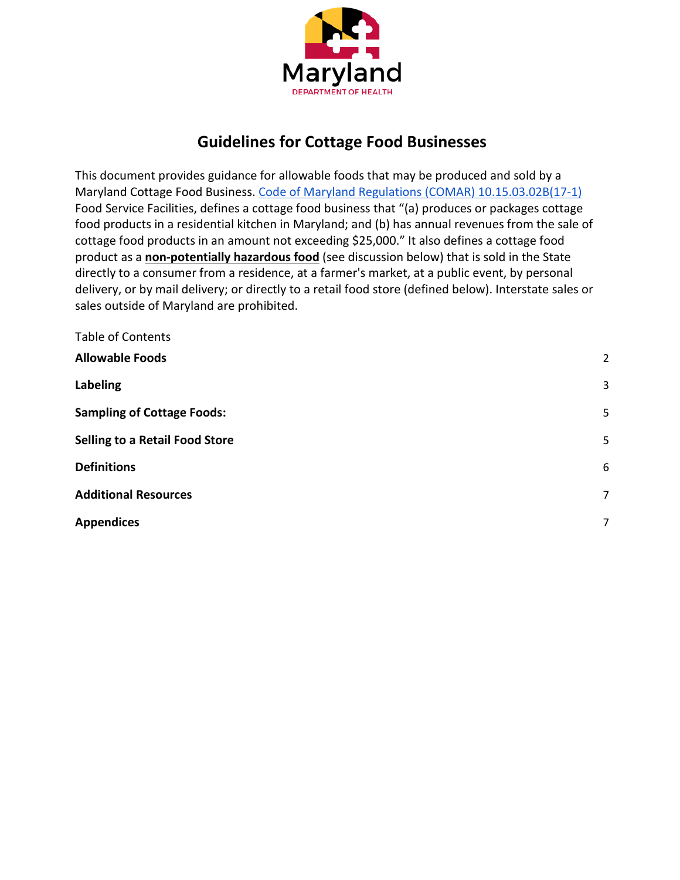

# **Guidelines for Cottage Food Businesses**

This document provides guidance for allowable foods that may be produced and sold by a Maryland Cottage Food Business. [Code of Maryland Regulations \(COMAR\) 10.15.03.02B\(17-1\)](http://www.dsd.state.md.us/comar/comarhtml/10/10.15.03.02.htm) Food Service Facilities, defines a cottage food business that "(a) produces or packages cottage food products in a residential kitchen in Maryland; and (b) has annual revenues from the sale of cottage food products in an amount not exceeding \$25,000." It also defines a cottage food product as a **non-potentially hazardous food** (see discussion below) that is sold in the State directly to a consumer from a residence, at a farmer's market, at a public event, by personal delivery, or by mail delivery; or directly to a retail food store (defined below). Interstate sales or sales outside of Maryland are prohibited.

| <b>Table of Contents</b>              |                |
|---------------------------------------|----------------|
| <b>Allowable Foods</b>                | $\overline{2}$ |
| Labeling                              | 3              |
| <b>Sampling of Cottage Foods:</b>     | 5              |
| <b>Selling to a Retail Food Store</b> | 5              |
| <b>Definitions</b>                    | 6              |
| <b>Additional Resources</b>           | 7              |
| <b>Appendices</b>                     | 7              |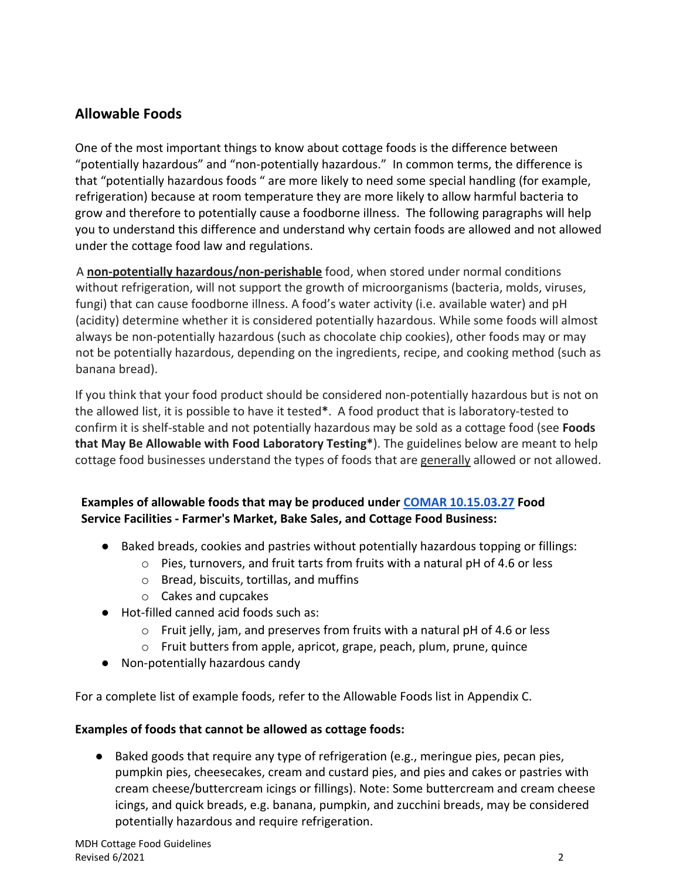## <span id="page-1-0"></span>**Allowable Foods**

One of the most important things to know about cottage foods is the difference between "potentially hazardous" and "non-potentially hazardous." In common terms, the difference is that "potentially hazardous foods " are more likely to need some special handling (for example, refrigeration) because at room temperature they are more likely to allow harmful bacteria to grow and therefore to potentially cause a foodborne illness. The following paragraphs will help you to understand this difference and understand why certain foods are allowed and not allowed under the cottage food law and regulations.

A **non-potentially hazardous/non-perishable** food, when stored under normal conditions without refrigeration, will not support the growth of microorganisms (bacteria, molds, viruses, fungi) that can cause foodborne illness. A food's water activity (i.e. available water) and pH (acidity) determine whether it is considered potentially hazardous. While some foods will almost always be non-potentially hazardous (such as chocolate chip cookies), other foods may or may not be potentially hazardous, depending on the ingredients, recipe, and cooking method (such as banana bread).

If you think that your food product should be considered non-potentially hazardous but is not on the allowed list, it is possible to have it tested**\***. A food product that is laboratory-tested to confirm it is shelf-stable and not potentially hazardous may be sold as a cottage food (see **Foods that May Be Allowable with Food Laboratory Testing\***). The guidelines below are meant to help cottage food businesses understand the types of foods that are generally allowed or not allowed.

## **Examples of allowable foods that may be produced under [COMAR 10.15.03.27](http://www.dsd.state.md.us/comar/comarhtml/10/10.15.03.27.htm) Food Service Facilities - Farmer's Market, Bake Sales, and Cottage Food Business:**

- Baked breads, cookies and pastries without potentially hazardous topping or fillings:
	- o Pies, turnovers, and fruit tarts from fruits with a natural pH of 4.6 or less
	- o Bread, biscuits, tortillas, and muffins
	- o Cakes and cupcakes
- Hot-filled canned acid foods such as:
	- o Fruit jelly, jam, and preserves from fruits with a natural pH of 4.6 or less
	- o Fruit butters from apple, apricot, grape, peach, plum, prune, quince
- Non-potentially hazardous candy

For a complete list of example foods, refer to the Allowable Foods list in Appendix C.

## **Examples of foods that cannot be allowed as cottage foods:**

● Baked goods that require any type of refrigeration (e.g., meringue pies, pecan pies, pumpkin pies, cheesecakes, cream and custard pies, and pies and cakes or pastries with cream cheese/buttercream icings or fillings). Note: Some buttercream and cream cheese icings, and quick breads, e.g. banana, pumpkin, and zucchini breads, may be considered potentially hazardous and require refrigeration.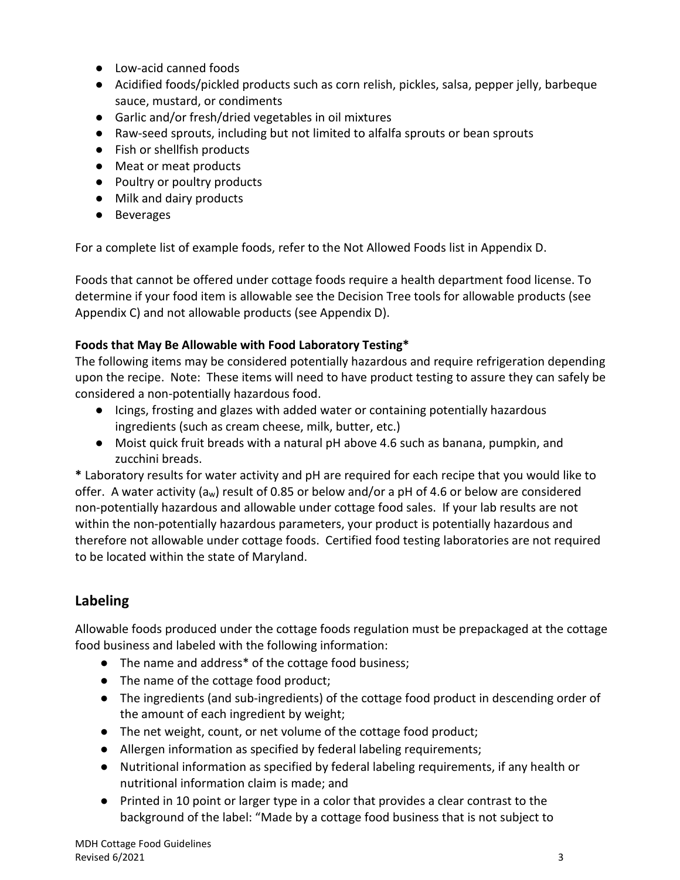- Low-acid canned foods
- Acidified foods/pickled products such as corn relish, pickles, salsa, pepper jelly, barbeque sauce, mustard, or condiments
- Garlic and/or fresh/dried vegetables in oil mixtures
- Raw-seed sprouts, including but not limited to alfalfa sprouts or bean sprouts
- Fish or shellfish products
- Meat or meat products
- Poultry or poultry products
- Milk and dairy products
- Beverages

For a complete list of example foods, refer to the Not Allowed Foods list in Appendix D.

Foods that cannot be offered under cottage foods require a health department food license. To determine if your food item is allowable see the Decision Tree tools for allowable products (see Appendix C) and not allowable products (see Appendix D).

## **Foods that May Be Allowable with Food Laboratory Testing\***

The following items may be considered potentially hazardous and require refrigeration depending upon the recipe. Note: These items will need to have product testing to assure they can safely be considered a non-potentially hazardous food.

- Icings, frosting and glazes with added water or containing potentially hazardous ingredients (such as cream cheese, milk, butter, etc.)
- Moist quick fruit breads with a natural pH above 4.6 such as banana, pumpkin, and zucchini breads.

**\*** Laboratory results for water activity and pH are required for each recipe that you would like to offer. A water activity  $(a_w)$  result of 0.85 or below and/or a pH of 4.6 or below are considered non-potentially hazardous and allowable under cottage food sales. If your lab results are not within the non-potentially hazardous parameters, your product is potentially hazardous and therefore not allowable under cottage foods. Certified food testing laboratories are not required to be located within the state of Maryland.

## <span id="page-2-0"></span>**Labeling**

Allowable foods produced under the cottage foods regulation must be prepackaged at the cottage food business and labeled with the following information:

- The name and address\* of the cottage food business;
- The name of the cottage food product;
- The ingredients (and sub-ingredients) of the cottage food product in descending order of the amount of each ingredient by weight;
- The net weight, count, or net volume of the cottage food product;
- Allergen information as specified by federal labeling requirements;
- Nutritional information as specified by federal labeling requirements, if any health or nutritional information claim is made; and
- Printed in 10 point or larger type in a color that provides a clear contrast to the background of the label: "Made by a cottage food business that is not subject to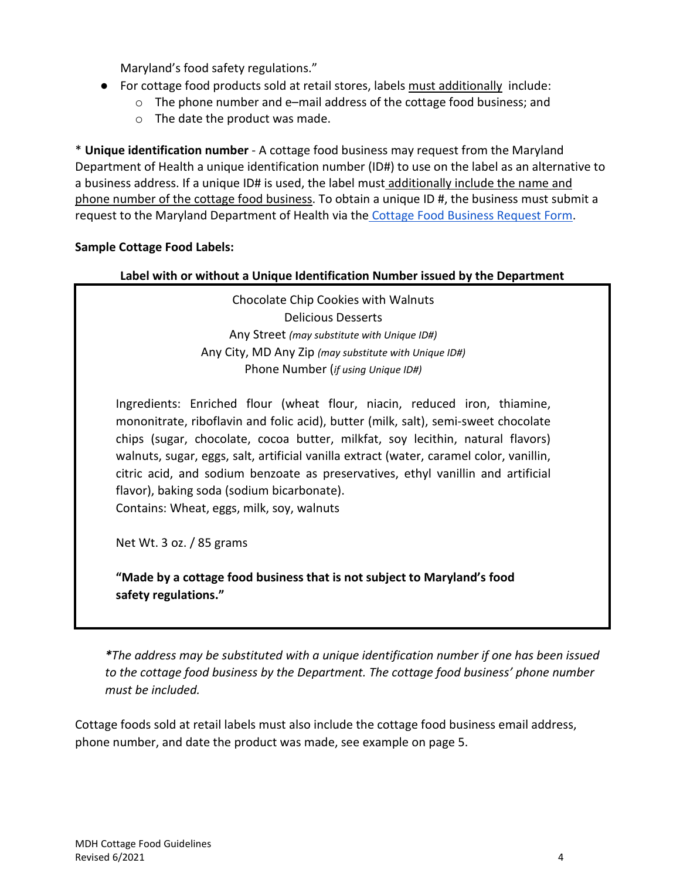Maryland's food safety regulations."

- For cottage food products sold at retail stores, labels must additionally include:
	- $\circ$  The phone number and e–mail address of the cottage food business; and
		- o The date the product was made.

\* **Unique identification number** - A cottage food business may request from the Maryland Department of Health a unique identification number (ID#) to use on the label as an alternative to a business address. If a unique ID# is used, the label must additionally include the name and phone number of the cottage food business. To obtain a unique ID #, the business must submit a request to the Maryland Department of Health via the [Cottage Food Business Request Form.](https://www.cognitoforms.com/MDH3/CottageFoodBusinessRequest)

### **Sample Cottage Food Labels:**

### **Label with or without a Unique Identification Number issued by the Department**

Chocolate Chip Cookies with Walnuts Delicious Desserts Any Street *(may substitute with Unique ID#)* Any City, MD Any Zip *(may substitute with Unique ID#)* Phone Number (*if using Unique ID#)*

Ingredients: Enriched flour (wheat flour, niacin, reduced iron, thiamine, mononitrate, riboflavin and folic acid), butter (milk, salt), semi-sweet chocolate chips (sugar, chocolate, cocoa butter, milkfat, soy lecithin, natural flavors) walnuts, sugar, eggs, salt, artificial vanilla extract (water, caramel color, vanillin, citric acid, and sodium benzoate as preservatives, ethyl vanillin and artificial flavor), baking soda (sodium bicarbonate).

Contains: Wheat, eggs, milk, soy, walnuts

Net Wt. 3 oz. / 85 grams

**"Made by a cottage food business that is not subject to Maryland's food safety regulations."**

*\*The address may be substituted with a unique identification number if one has been issued to the cottage food business by the Department. The cottage food business' phone number must be included.*

Cottage foods sold at retail labels must also include the cottage food business email address, phone number, and date the product was made, see example on page 5.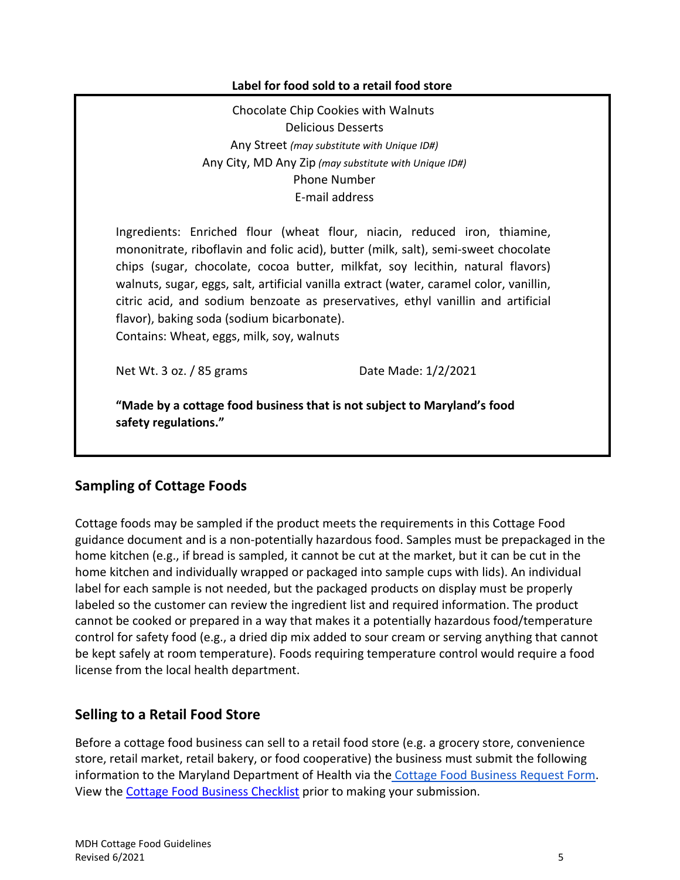### **Label for food sold to a retail food store**

Chocolate Chip Cookies with Walnuts Delicious Desserts Any Street *(may substitute with Unique ID#)* Any City, MD Any Zip *(may substitute with Unique ID#)* Phone Number E-mail address

Ingredients: Enriched flour (wheat flour, niacin, reduced iron, thiamine, mononitrate, riboflavin and folic acid), butter (milk, salt), semi-sweet chocolate chips (sugar, chocolate, cocoa butter, milkfat, soy lecithin, natural flavors) walnuts, sugar, eggs, salt, artificial vanilla extract (water, caramel color, vanillin, citric acid, and sodium benzoate as preservatives, ethyl vanillin and artificial flavor), baking soda (sodium bicarbonate). Contains: Wheat, eggs, milk, soy, walnuts

Net Wt. 3 oz. / 85 grams Date Made: 1/2/2021

**"Made by a cottage food business that is not subject to Maryland's food safety regulations."**

## <span id="page-4-0"></span>**Sampling of Cottage Foods**

Cottage foods may be sampled if the product meets the requirements in this Cottage Food guidance document and is a non-potentially hazardous food. Samples must be prepackaged in the home kitchen (e.g., if bread is sampled, it cannot be cut at the market, but it can be cut in the home kitchen and individually wrapped or packaged into sample cups with lids). An individual label for each sample is not needed, but the packaged products on display must be properly labeled so the customer can review the ingredient list and required information. The product cannot be cooked or prepared in a way that makes it a potentially hazardous food/temperature control for safety food (e.g., a dried dip mix added to sour cream or serving anything that cannot be kept safely at room temperature). Foods requiring temperature control would require a food license from the local health department.

## <span id="page-4-1"></span>**Selling to a Retail Food Store**

Before a cottage food business can sell to a retail food store (e.g. a grocery store, convenience store, retail market, retail bakery, or food cooperative) the business must submit the following information to the Maryland Department of Health via the [Cottage Food Business Request Form.](https://www.cognitoforms.com/MDH3/CottageFoodBusinessRequest) View the [Cottage Food Business Checklist](https://phpa.health.maryland.gov/OEHFP/OFPCHS/SiteAssets/Pages/CottageFoods/Business%20Checklist%20for%20Submitting%20for%20CF%20Sales%20at%20Retail_Revised_02.23.2021.pdf) prior to making your submission.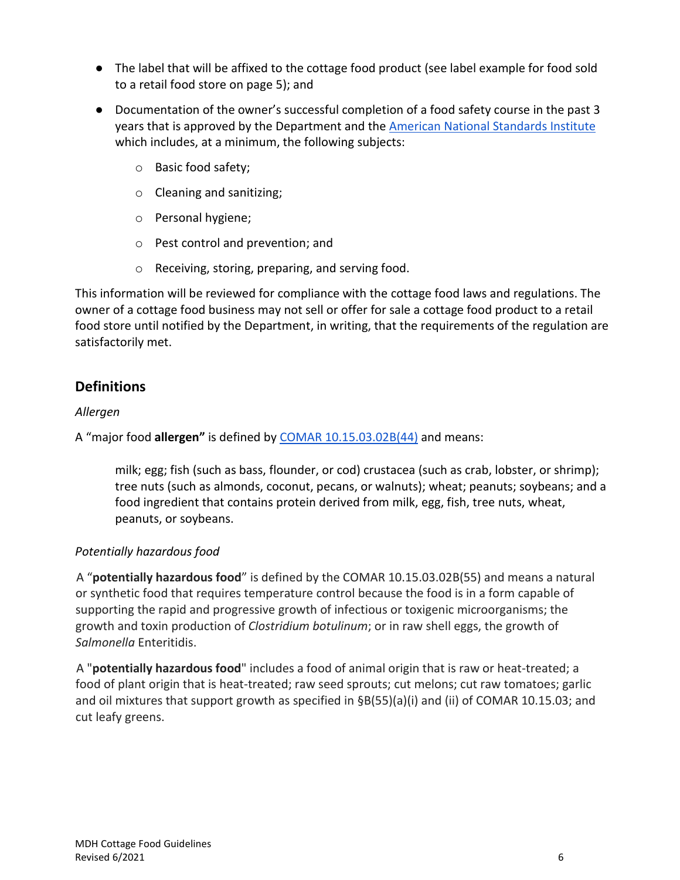- The label that will be affixed to the cottage food product (see label example for food sold to a retail food store on page 5); and
- Documentation of the owner's successful completion of a food safety course in the past 3 years that is approved by the Department and the [American National Standards Institute](https://anabpd.ansi.org/accreditation/credentialing/certificate-issuers/AllDirectoryListing?prgID=212,238&statusID=4) which includes, at a minimum, the following subjects:
	- o Basic food safety;
	- o Cleaning and sanitizing;
	- o Personal hygiene;
	- o Pest control and prevention; and
	- o Receiving, storing, preparing, and serving food.

This information will be reviewed for compliance with the cottage food laws and regulations. The owner of a cottage food business may not sell or offer for sale a cottage food product to a retail food store until notified by the Department, in writing, that the requirements of the regulation are satisfactorily met.

## <span id="page-5-0"></span>**Definitions**

## *Allergen*

A "major food **allergen"** is defined by [COMAR 10.15.03.02B\(44\)](http://www.dsd.state.md.us/comar/comarhtml/10/10.15.03.02.htm) and means:

milk; egg; fish (such as bass, flounder, or cod) crustacea (such as crab, lobster, or shrimp); tree nuts (such as almonds, coconut, pecans, or walnuts); wheat; peanuts; soybeans; and a food ingredient that contains protein derived from milk, egg, fish, tree nuts, wheat, peanuts, or soybeans.

## *Potentially hazardous food*

A "**potentially hazardous food**" is defined by the COMAR 10.15.03.02B(55) and means a natural or synthetic food that requires temperature control because the food is in a form capable of supporting the rapid and progressive growth of infectious or toxigenic microorganisms; the growth and toxin production of *Clostridium botulinum*; or in raw shell eggs, the growth of *Salmonella* Enteritidis.

A "**potentially hazardous food**" includes a food of animal origin that is raw or heat-treated; a food of plant origin that is heat-treated; raw seed sprouts; cut melons; cut raw tomatoes; garlic and oil mixtures that support growth as specified in §B(55)(a)(i) and (ii) of COMAR 10.15.03; and cut leafy greens.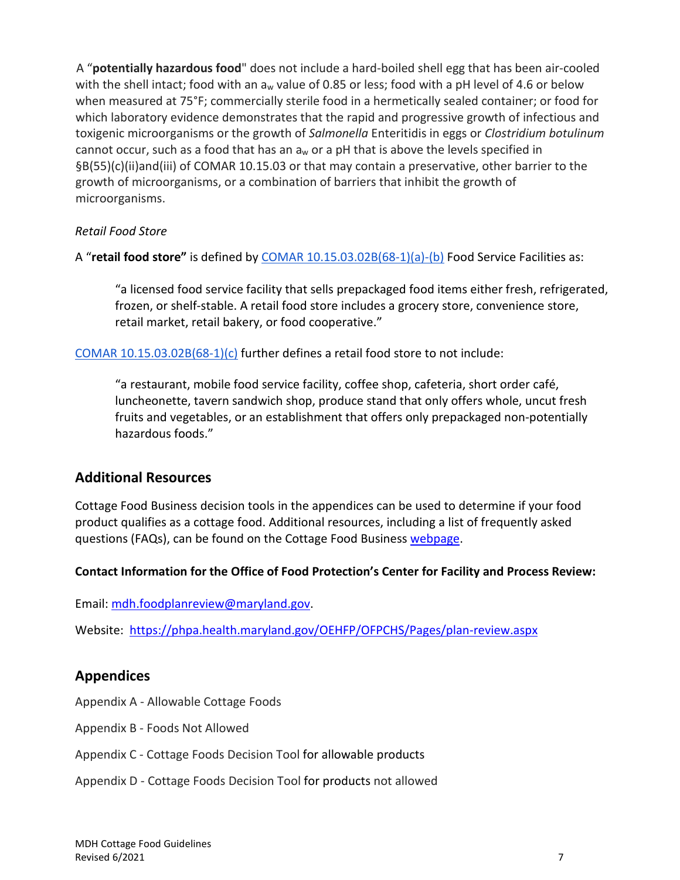A "**potentially hazardous food**" does not include a hard-boiled shell egg that has been air-cooled with the shell intact; food with an  $a_w$  value of 0.85 or less; food with a pH level of 4.6 or below when measured at 75°F; commercially sterile food in a hermetically sealed container; or food for which laboratory evidence demonstrates that the rapid and progressive growth of infectious and toxigenic microorganisms or the growth of *Salmonella* Enteritidis in eggs or *Clostridium botulinum* cannot occur, such as a food that has an  $a<sub>w</sub>$  or a pH that is above the levels specified in §B(55)(c)(ii)and(iii) of COMAR 10.15.03 or that may contain a preservative, other barrier to the growth of microorganisms, or a combination of barriers that inhibit the growth of microorganisms.

## *Retail Food Store*

A "**retail food store"** is defined by [COMAR 10.15.03.02B\(68-1\)\(a\)-\(b\)](http://www.dsd.state.md.us/comar/comarhtml/10/10.15.03.02.htm) Food Service Facilities as:

"a licensed food service facility that sells prepackaged food items either fresh, refrigerated, frozen, or shelf-stable. A retail food store includes a grocery store, convenience store, retail market, retail bakery, or food cooperative."

COMAR  $10.15.03.02B(68-1)(c)$  further defines a retail food store to not include:

"a restaurant, mobile food service facility, coffee shop, cafeteria, short order café, luncheonette, tavern sandwich shop, produce stand that only offers whole, uncut fresh fruits and vegetables, or an establishment that offers only prepackaged non-potentially hazardous foods."

## <span id="page-6-0"></span>**Additional Resources**

Cottage Food Business decision tools in the appendices can be used to determine if your food product qualifies as a cottage food. Additional resources, including a list of frequently asked questions (FAQs), can be found on the Cottage Food Business [webpage.](https://phpa.health.maryland.gov/OEHFP/OFPCHS/Pages/CottageFoods.aspx)

## **Contact Information for the Office of Food Protection's Center for Facility and Process Review:**

Email: [mdh.foodplanreview@maryland.gov.](mailto:mdh.foodplanreview@maryland.gov)

Website:<https://phpa.health.maryland.gov/OEHFP/OFPCHS/Pages/plan-review.aspx>

## <span id="page-6-1"></span>**Appendices**

Appendix A - Allowable Cottage Foods

- Appendix B Foods Not Allowed
- Appendix C Cottage Foods Decision Tool for allowable products
- Appendix D Cottage Foods Decision Tool for products not allowed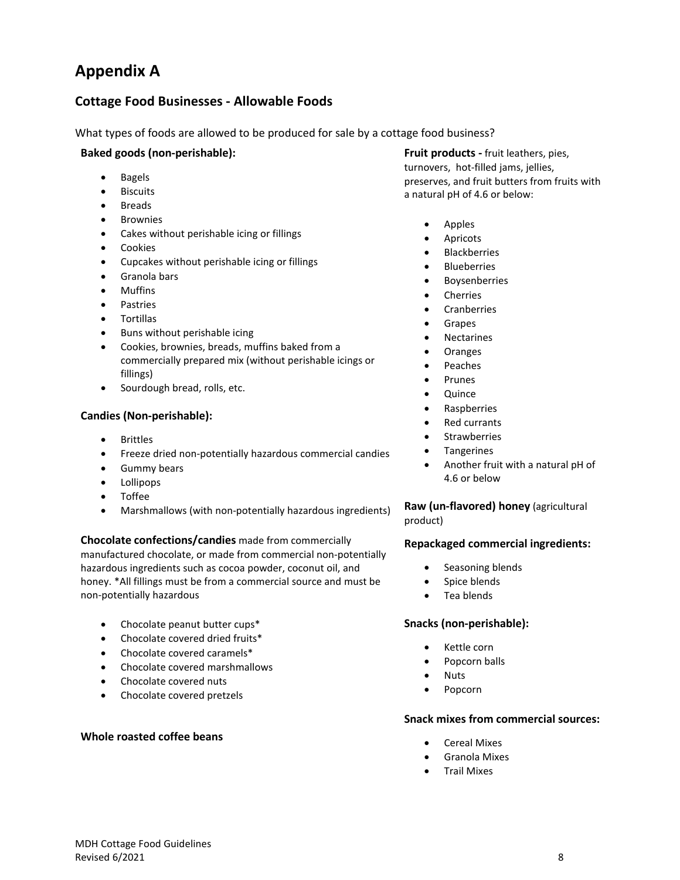# **Appendix A**

## **Cottage Food Businesses - Allowable Foods**

What types of foods are allowed to be produced for sale by a cottage food business?

#### **Baked goods (non-perishable):**

- Bagels
- Biscuits
- **Breads**
- **Brownies**
- Cakes without perishable icing or fillings
- Cookies
- Cupcakes without perishable icing or fillings
- Granola bars
- Muffins
- **Pastries**
- **Tortillas**
- Buns without perishable icing
- Cookies, brownies, breads, muffins baked from a commercially prepared mix (without perishable icings or fillings)
- Sourdough bread, rolls, etc.

#### **Candies (Non-perishable):**

- **Brittles**
- Freeze dried non-potentially hazardous commercial candies
- Gummy bears
- Lollipops
- Toffee
- Marshmallows (with non-potentially hazardous ingredients)

**Chocolate confections/candies** made from commercially manufactured chocolate, or made from commercial non-potentially hazardous ingredients such as cocoa powder, coconut oil, and honey. \*All fillings must be from a commercial source and must be non-potentially hazardous

- Chocolate peanut butter cups\*
- Chocolate covered dried fruits\*
- Chocolate covered caramels\*
- Chocolate covered marshmallows
- Chocolate covered nuts
- Chocolate covered pretzels

#### **Whole roasted coffee beans**

**Fruit products -** fruit leathers, pies, turnovers, hot-filled jams, jellies, preserves, and fruit butters from fruits with a natural pH of 4.6 or below:

- Apples
- **Apricots**
- **Blackberries**
- **Blueberries**
- **Boysenberries**
- Cherries
- Cranberries
- Grapes
- **Nectarines**
- Oranges
- Peaches
- Prunes
- Quince
- Raspberries
- Red currants
- **Strawberries**
- Tangerines
- Another fruit with a natural pH of 4.6 or below

**Raw (un-flavored) honey** (agricultural product)

#### **Repackaged commercial ingredients:**

- Seasoning blends
- Spice blends
- Tea blends

#### **Snacks (non-perishable):**

- Kettle corn
- Popcorn balls
- Nuts
- Popcorn

#### **Snack mixes from commercial sources:**

- Cereal Mixes
- Granola Mixes
- Trail Mixes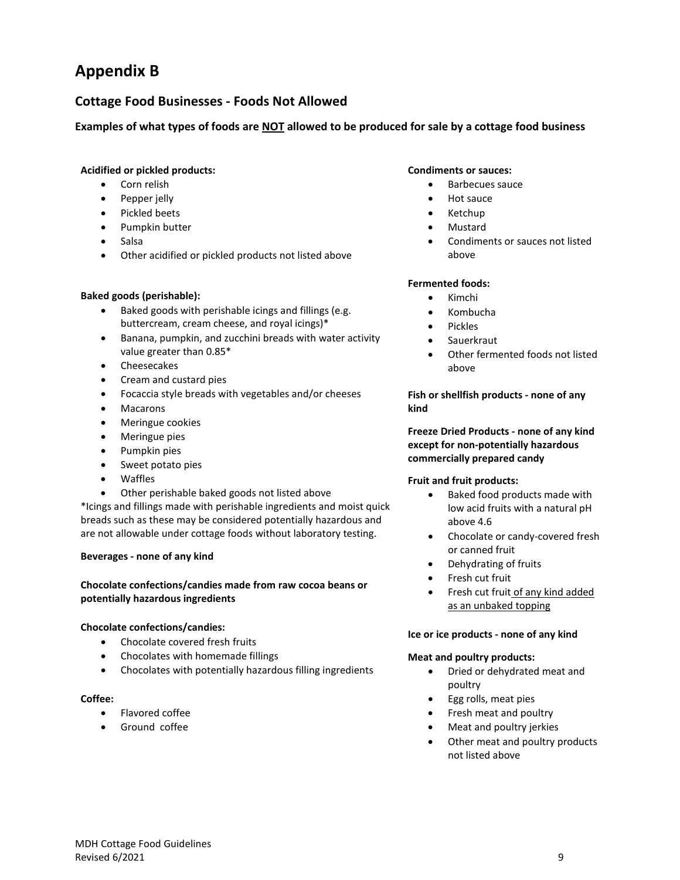# **Appendix B**

## **Cottage Food Businesses - Foods Not Allowed**

#### **Examples of what types of foods are NOT allowed to be produced for sale by a cottage food business**

#### **Acidified or pickled products:**

- Corn relish
- Pepper jelly
- Pickled beets
- Pumpkin butter
- Salsa
- Other acidified or pickled products not listed above

#### **Baked goods (perishable):**

- Baked goods with perishable icings and fillings (e.g. buttercream, cream cheese, and royal icings)\*
- Banana, pumpkin, and zucchini breads with water activity value greater than 0.85\*
- Cheesecakes
- Cream and custard pies
- Focaccia style breads with vegetables and/or cheeses
- **Macarons**
- Meringue cookies
- Meringue pies
- Pumpkin pies
- Sweet potato pies
- Waffles
- Other perishable baked goods not listed above

\*Icings and fillings made with perishable ingredients and moist quick breads such as these may be considered potentially hazardous and are not allowable under cottage foods without laboratory testing.

#### **Beverages - none of any kind**

#### **Chocolate confections/candies made from raw cocoa beans or potentially hazardous ingredients**

#### **Chocolate confections/candies:**

- Chocolate covered fresh fruits
- Chocolates with homemade fillings
- Chocolates with potentially hazardous filling ingredients

#### **Coffee:**

- Flavored coffee
- Ground coffee

#### **Condiments or sauces:**

- Barbecues sauce
- Hot sauce
- Ketchup
- Mustard
- Condiments or sauces not listed above

#### **Fermented foods:**

- Kimchi
- Kombucha
- Pickles
- **Sauerkraut**
- Other fermented foods not listed above

#### **Fish or shellfish products - none of any kind**

#### **Freeze Dried Products - none of any kind except for non-potentially hazardous commercially prepared candy**

#### **Fruit and fruit products:**

- Baked food products made with low acid fruits with a natural pH above 4.6
- Chocolate or candy-covered fresh or canned fruit
- Dehydrating of fruits
- Fresh cut fruit
- Fresh cut fruit of any kind added as an unbaked topping

#### **Ice or ice products - none of any kind**

#### **Meat and poultry products:**

- Dried or dehydrated meat and poultry
- Egg rolls, meat pies
- Fresh meat and poultry
- Meat and poultry jerkies
- Other meat and poultry products not listed above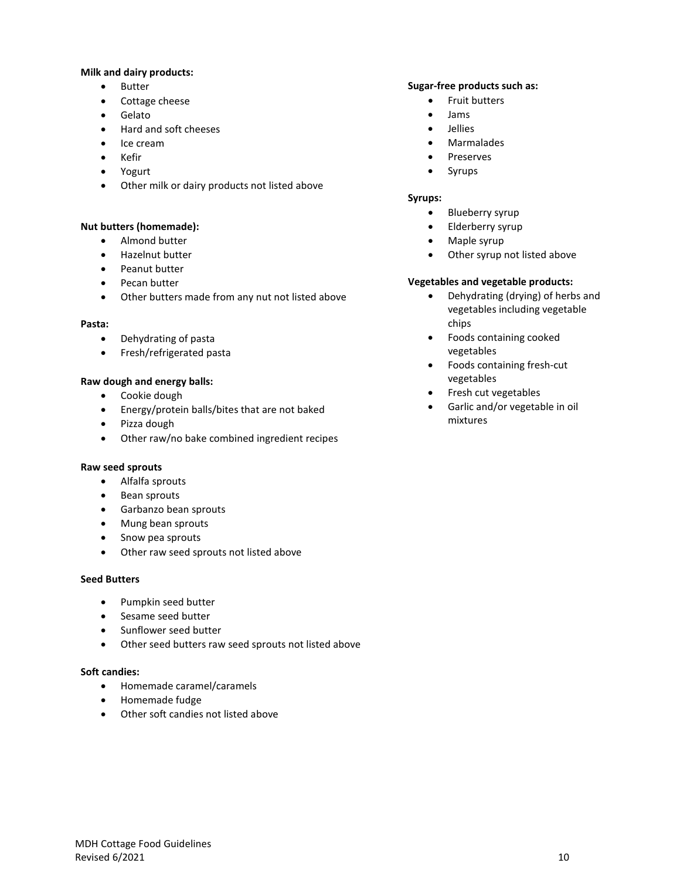#### **Milk and dairy products:**

- Butter
- Cottage cheese
- Gelato
- Hard and soft cheeses
- Ice cream
- Kefir
- Yogurt
- Other milk or dairy products not listed above

#### **Nut butters (homemade):**

- Almond butter
- Hazelnut butter
- Peanut butter
- Pecan butter
- Other butters made from any nut not listed above

#### **Pasta:**

- Dehydrating of pasta
- Fresh/refrigerated pasta

#### **Raw dough and energy balls:**

- Cookie dough
- Energy/protein balls/bites that are not baked
- Pizza dough
- Other raw/no bake combined ingredient recipes

#### **Raw seed sprouts**

- Alfalfa sprouts
- Bean sprouts
- Garbanzo bean sprouts
- Mung bean sprouts
- Snow pea sprouts
- Other raw seed sprouts not listed above

#### **Seed Butters**

- Pumpkin seed butter
- Sesame seed butter
- Sunflower seed butter
- Other seed butters raw seed sprouts not listed above

#### **Soft candies:**

- Homemade caramel/caramels
- Homemade fudge
- Other soft candies not listed above

#### **Sugar-free products such as:**

- Fruit butters
- Jams
- Jellies
- Marmalades
- **Preserves**
- Syrups

#### **Syrups:**

- Blueberry syrup
- Elderberry syrup
- Maple syrup
- Other syrup not listed above

#### **Vegetables and vegetable products:**

- Dehydrating (drying) of herbs and vegetables including vegetable chips
- Foods containing cooked vegetables
- Foods containing fresh-cut vegetables
- Fresh cut vegetables
- Garlic and/or vegetable in oil mixtures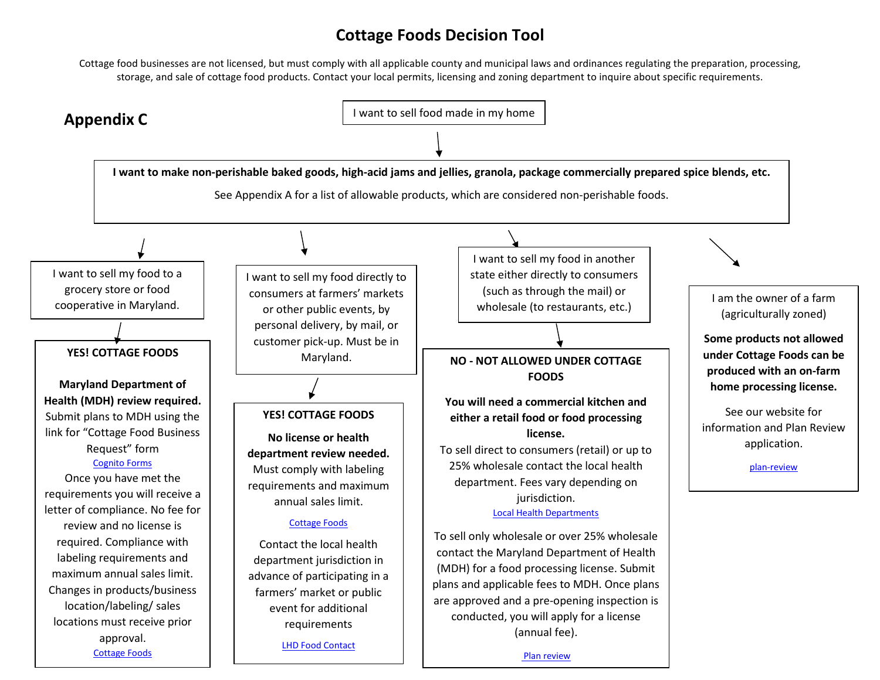## **Cottage Foods Decision Tool**

Cottage food businesses are not licensed, but must comply with all applicable county and municipal laws and ordinances regulating the preparation, processing, storage, and sale of cottage food products. Contact your local permits, licensing and zoning department to inquire about specific requirements.